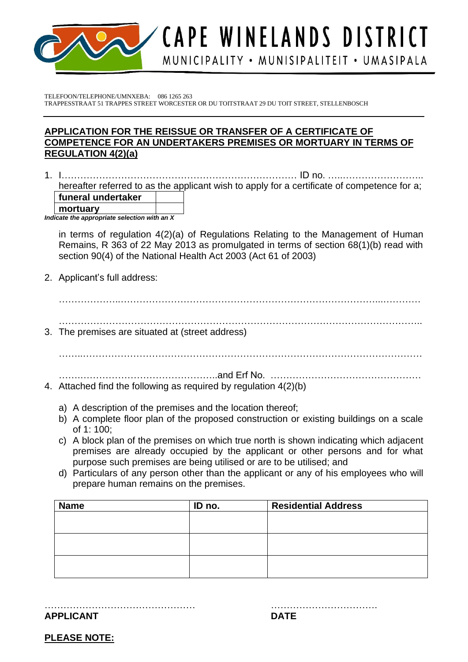

CAPE WINELANDS DISTRICT MUNICIPALITY · MUNISIPALITEIT · UMASIPALA

TELEFOON/TELEPHONE/UMNXEBA: 086 1265 263 TRAPPESSTRAAT 51 TRAPPES STREET WORCESTER OR DU TOITSTRAAT 29 DU TOIT STREET, STELLENBOSCH

## **APPLICATION FOR THE REISSUE OR TRANSFER OF A CERTIFICATE OF COMPETENCE FOR AN UNDERTAKERS PREMISES OR MORTUARY IN TERMS OF REGULATION 4(2)(a)**

1. I………………………………………………………………… ID no. …..…………………….. hereafter referred to as the applicant wish to apply for a certificate of competence for a; **funeral undertaker mortuary** *Indicate the appropriate selection with an X* 

in terms of regulation 4(2)(a) of Regulations Relating to the Management of Human Remains, R 363 of 22 May 2013 as promulgated in terms of section 68(1)(b) read with section 90(4) of the National Health Act 2003 (Act 61 of 2003)

2. Applicant's full address:

 $\mathcal{L}^{\text{max}}_{\text{max}}$ …………………………………………………………………………………………………….. 3. The premises are situated at (street address)

. The contract of the contract of the contract of the contract of the contract of the contract of the contract of the contract of the contract of the contract of the contract of the contract of the contract of the contrac

…….……………………………………..and Erf No. ………………………………………… 4. Attached find the following as required by regulation 4(2)(b)

- a) A description of the premises and the location thereof;
- b) A complete floor plan of the proposed construction or existing buildings on a scale of 1: 100;
- c) A block plan of the premises on which true north is shown indicating which adjacent premises are already occupied by the applicant or other persons and for what purpose such premises are being utilised or are to be utilised; and
- d) Particulars of any person other than the applicant or any of his employees who will prepare human remains on the premises.

| <b>Name</b> | ID no. | <b>Residential Address</b> |
|-------------|--------|----------------------------|
|             |        |                            |
|             |        |                            |
|             |        |                            |
|             |        |                            |
|             |        |                            |
|             |        |                            |

**APPLICANT DATE**

………………………………………… …………………………….

**PLEASE NOTE:**